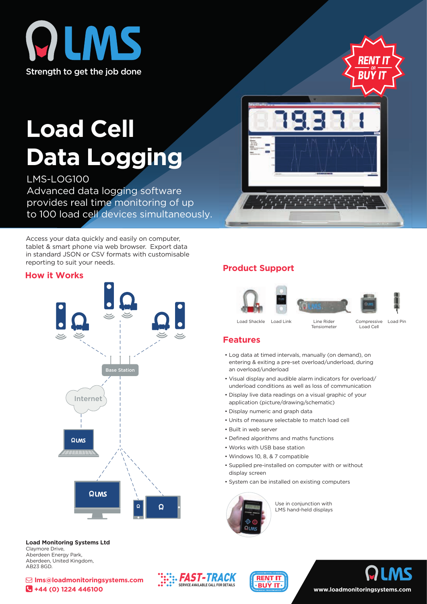



# **Load Cell Data Logging**

LMS-LOG100 Advanced data logging software provides real time monitoring of up to 100 load cell devices simultaneously.

Access your data quickly and easily on computer, tablet & smart phone via web browser. Export data in standard JSON or CSV formats with customisable reporting to suit your needs.

#### **How it Works**



#### **Product Support**



Load Shackle Load Link Line Rider Compressive Load Pin Load Link

**Tensiometer** 

Load Cell

#### **Features**

- Log data at timed intervals, manually (on demand), on entering & exiting a pre-set overload/underload, during an overload/underload
- Visual display and audible alarm indicators for overload/ underload conditions as well as loss of communication
- Display live data readings on a visual graphic of your application (picture/drawing/schematic)
- Display numeric and graph data
- Units of measure selectable to match load cell
- Built in web server
- Defined algorithms and maths functions
- Works with USB base station
- Windows 10, 8, & 7 compatible
- Supplied pre-installed on computer with or without display screen
- System can be installed on existing computers



Use in conjunction with LMS hand-held displays



 **lms@loadmonitoringsystems.com +44 (0) 1224 446100**